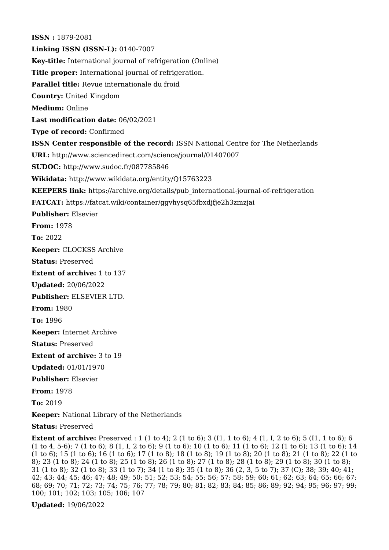**ISSN :** 1879-2081 **Linking ISSN (ISSN-L):** 0140-7007 **Key-title:** International journal of refrigeration (Online) **Title proper:** International journal of refrigeration. **Parallel title:** Revue internationale du froid **Country:** United Kingdom **Medium:** Online **Last modification date:** 06/02/2021 **Type of record:** Confirmed **ISSN Center responsible of the record:** ISSN National Centre for The Netherlands **URL:** <http://www.sciencedirect.com/science/journal/01407007> **SUDOC:** <http://www.sudoc.fr/087785846> **Wikidata:** <http://www.wikidata.org/entity/Q15763223> **KEEPERS link:** [https://archive.org/details/pub\\_international-journal-of-refrigeration](https://archive.org/details/pub_international-journal-of-refrigeration) **FATCAT:** <https://fatcat.wiki/container/ggvhysq65fbxdjfje2h3zmzjai> **Publisher:** Elsevier **From:** 1978 **To:** 2022 **Keeper:** CLOCKSS Archive **Status:** Preserved **Extent of archive:** 1 to 137 **Updated:** 20/06/2022 **Publisher:** ELSEVIER LTD. **From:** 1980 **To:** 1996 **Keeper:** Internet Archive **Status:** Preserved **Extent of archive:** 3 to 19 **Updated:** 01/01/1970 **Publisher:** Elsevier **From:** 1978 **To:** 2019 **Keeper:** National Library of the Netherlands **Status:** Preserved

**Extent of archive:** Preserved : 1 (1 to 4); 2 (1 to 6); 3 (I1, 1 to 6); 4 (1, I, 2 to 6); 5 (I1, 1 to 6); 6 (1 to 4, 5-6); 7 (1 to 6); 8 (1, I, 2 to 6); 9 (1 to 6); 10 (1 to 6); 11 (1 to 6); 12 (1 to 6); 13 (1 to 6); 14 (1 to 6); 15 (1 to 6); 16 (1 to 6); 17 (1 to 8); 18 (1 to 8); 19 (1 to 8); 20 (1 to 8); 21 (1 to 8); 22 (1 to 8); 23 (1 to 8); 24 (1 to 8); 25 (1 to 8); 26 (1 to 8); 27 (1 to 8); 28 (1 to 8); 29 (1 to 8); 30 (1 to 8); 31 (1 to 8); 32 (1 to 8); 33 (1 to 7); 34 (1 to 8); 35 (1 to 8); 36 (2, 3, 5 to 7); 37 (C); 38; 39; 40; 41; 42; 43; 44; 45; 46; 47; 48; 49; 50; 51; 52; 53; 54; 55; 56; 57; 58; 59; 60; 61; 62; 63; 64; 65; 66; 67; 68; 69; 70; 71; 72; 73; 74; 75; 76; 77; 78; 79; 80; 81; 82; 83; 84; 85; 86; 89; 92; 94; 95; 96; 97; 99; 100; 101; 102; 103; 105; 106; 107

**Updated:** 19/06/2022